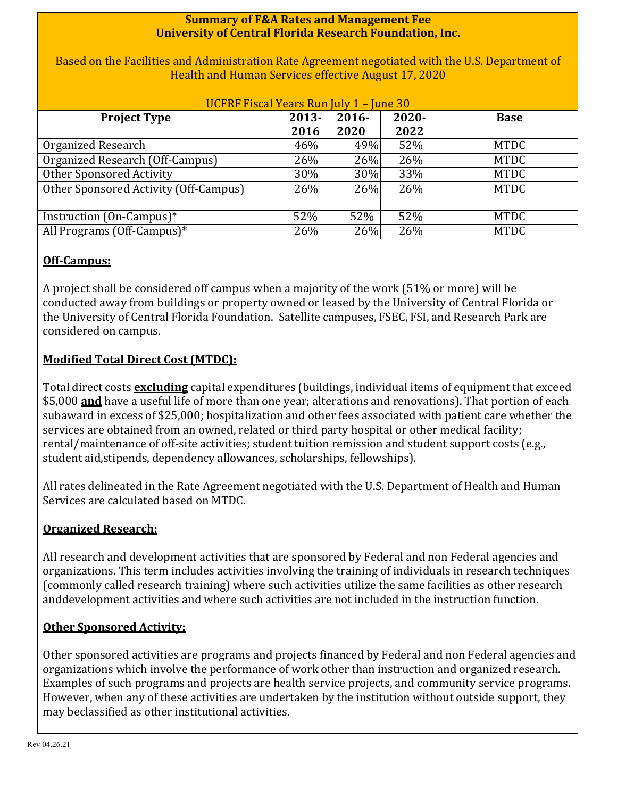### **Summary of F&A Rates and Management Fee University of Central Florida Research Foundation, Inc.**

Based on the Facilities and Administration Rate Agreement negotiated with the U.S. Department of Health and Human Services effective August 17, 2020

| UCFRF Fiscal Years Run July 1 - June 30 |          |          |       |             |  |  |
|-----------------------------------------|----------|----------|-------|-------------|--|--|
| <b>Project Type</b>                     | $2013 -$ | $2016 -$ | 2020- | <b>Base</b> |  |  |
|                                         | 2016     | 2020     | 2022  |             |  |  |
| Organized Research                      | 46%      | 49%      | 52%   | <b>MTDC</b> |  |  |
| Organized Research (Off-Campus)         | 26%      | 26%      | 26%   | <b>MTDC</b> |  |  |
| Other Sponsored Activity                | 30%      | 30%      | 33%   | <b>MTDC</b> |  |  |
| Other Sponsored Activity (Off-Campus)   | 26%      | 26%      | 26%   | <b>MTDC</b> |  |  |
|                                         |          |          |       |             |  |  |
| Instruction (On-Campus)*                | 52%      | 52%      | 52%   | <b>MTDC</b> |  |  |
| All Programs (Off-Campus)*              | 26%      | 26%      | 26%   | <b>MTDC</b> |  |  |

# **Off-Campus:**

A project shall be considered off campus when a majority of the work (51% or more) will be conducted away from buildings or property owned or leased by the University of Central Florida or the University of Central Florida Foundation. Satellite campuses, FSEC, FSI, and Research Park are considered on campus.

# **Modified Total Direct Cost (MTDC):**

Total direct costs **excluding** capital expenditures (buildings, individual items of equipment that exceed \$5,000 **and** have a useful life of more than one year; alterations and renovations). That portion of each subaward in excess of \$25,000; hospitalization and other fees associated with patient care whether the services are obtained from an owned, related or third party hospital or other medical facility; rental/maintenance of off-site activities; student tuition remission and student support costs (e.g., student aid,stipends, dependency allowances, scholarships, fellowships).

All rates delineated in the Rate Agreement negotiated with the U.S. Department of Health and Human Services are calculated based on MTDC.

# **Organized Research:**

All research and development activities that are sponsored by Federal and non Federal agencies and organizations. This term includes activities involving the training of individuals in research techniques (commonly called research training) where such activities utilize the same facilities as other research anddevelopment activities and where such activities are not included in the instruction function.

### **Other Sponsored Activity:**

Other sponsored activities are programs and projects financed by Federal and non Federal agencies and organizations which involve the performance of work other than instruction and organized research. Examples of such programs and projects are health service projects, and community service programs. However, when any of these activities are undertaken by the institution without outside support, they may beclassified as other institutional activities.